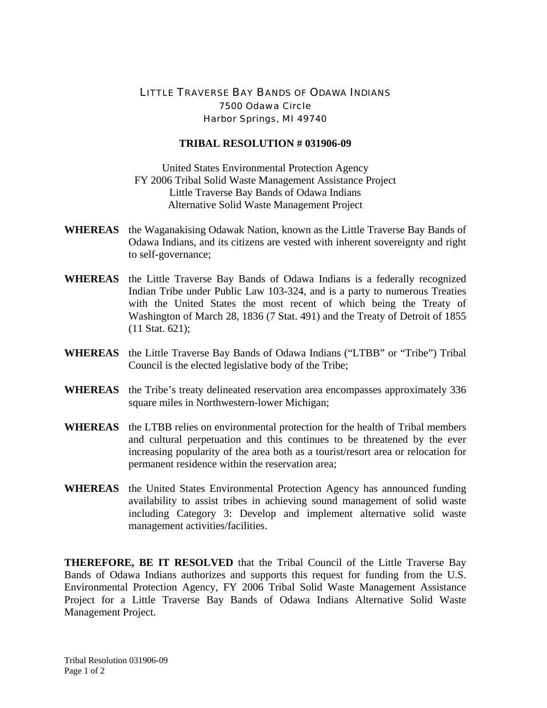## LITTLE TRAVERSE BAY BANDS OF ODAWA INDIANS 7500 Odawa Circle Harbor Springs, MI 49740

## **TRIBAL RESOLUTION # 031906-09**

United States Environmental Protection Agency FY 2006 Tribal Solid Waste Management Assistance Project Little Traverse Bay Bands of Odawa Indians Alternative Solid Waste Management Project

- **WHEREAS** the Waganakising Odawak Nation, known as the Little Traverse Bay Bands of Odawa Indians, and its citizens are vested with inherent sovereignty and right to self-governance;
- **WHEREAS** the Little Traverse Bay Bands of Odawa Indians is a federally recognized Indian Tribe under Public Law 103-324, and is a party to numerous Treaties with the United States the most recent of which being the Treaty of Washington of March 28, 1836 (7 Stat. 491) and the Treaty of Detroit of 1855 (11 Stat. 621);
- **WHEREAS** the Little Traverse Bay Bands of Odawa Indians ("LTBB" or "Tribe") Tribal Council is the elected legislative body of the Tribe;
- **WHEREAS** the Tribe's treaty delineated reservation area encompasses approximately 336 square miles in Northwestern-lower Michigan;
- **WHEREAS** the LTBB relies on environmental protection for the health of Tribal members and cultural perpetuation and this continues to be threatened by the ever increasing popularity of the area both as a tourist/resort area or relocation for permanent residence within the reservation area;
- **WHEREAS** the United States Environmental Protection Agency has announced funding availability to assist tribes in achieving sound management of solid waste including Category 3: Develop and implement alternative solid waste management activities/facilities.

**THEREFORE, BE IT RESOLVED** that the Tribal Council of the Little Traverse Bay Bands of Odawa Indians authorizes and supports this request for funding from the U.S. Environmental Protection Agency, FY 2006 Tribal Solid Waste Management Assistance Project for a Little Traverse Bay Bands of Odawa Indians Alternative Solid Waste Management Project.